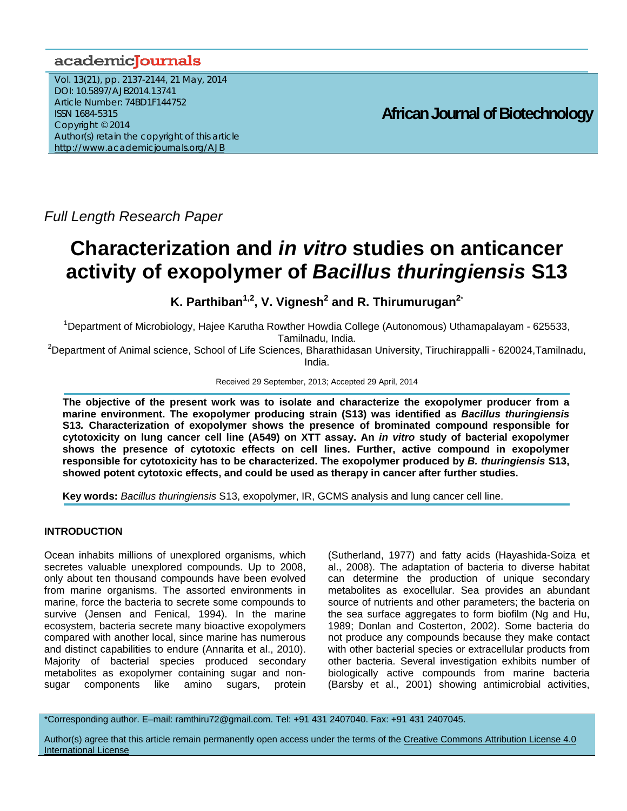# academicJournals

Vol. 13(21), pp. 2137-2144, 21 May, 2014 DOI: 10.5897/AJB2014.13741 Article Number: 74BD1F144752 ISSN 1684-5315 Copyright © 2014 Author(s) retain the copyright of this article http://www.academicjournals.org/AJB

**African Journal of Biotechnology**

*Full Length Research Paper* 

# **Characterization and** *in vitro* **studies on anticancer activity of exopolymer of** *Bacillus thuringiensis* **S13**

**K. Parthiban<sup>1,2</sup>, V. Vignesh<sup>2</sup> and R. Thirumurugan<sup>2\*</sup>** 

<sup>1</sup>Department of Microbiology, Hajee Karutha Rowther Howdia College (Autonomous) Uthamapalayam - 625533, Tamilnadu, India.

<sup>2</sup>Department of Animal science, School of Life Sciences, Bharathidasan University, Tiruchirappalli - 620024,Tamilnadu, India.

Received 29 September, 2013; Accepted 29 April, 2014

**The objective of the present work was to isolate and characterize the exopolymer producer from a marine environment. The exopolymer producing strain (S13) was identified as** *Bacillus thuringiensis*  **S13***.* **Characterization of exopolymer shows the presence of brominated compound responsible for cytotoxicity on lung cancer cell line (A549) on XTT assay. An** *in vitro* **study of bacterial exopolymer shows the presence of cytotoxic effects on cell lines. Further, active compound in exopolymer responsible for cytotoxicity has to be characterized. The exopolymer produced by** *B. thuringiensis* **S13, showed potent cytotoxic effects, and could be used as therapy in cancer after further studies.** 

**Key words:** *Bacillus thuringiensis* S13, exopolymer, IR, GCMS analysis and lung cancer cell line.

# **INTRODUCTION**

Ocean inhabits millions of unexplored organisms, which secretes valuable unexplored compounds. Up to 2008, only about ten thousand compounds have been evolved from marine organisms. The assorted environments in marine, force the bacteria to secrete some compounds to survive (Jensen and Fenical, 1994). In the marine ecosystem, bacteria secrete many bioactive exopolymers compared with another local, since marine has numerous and distinct capabilities to endure (Annarita et al., 2010). Majority of bacterial species produced secondary metabolites as exopolymer containing sugar and nonsugar components like amino sugars, protein (Sutherland, 1977) and fatty acids (Hayashida-Soiza et al., 2008). The adaptation of bacteria to diverse habitat can determine the production of unique secondary metabolites as exocellular. Sea provides an abundant source of nutrients and other parameters; the bacteria on the sea surface aggregates to form biofilm (Ng and Hu, 1989; Donlan and Costerton, 2002). Some bacteria do not produce any compounds because they make contact with other bacterial species or extracellular products from other bacteria. Several investigation exhibits number of biologically active compounds from marine bacteria (Barsby et al., 2001) showing antimicrobial activities,

\*Corresponding author. E–mail: ramthiru72@gmail.com. Tel: +91 431 2407040. Fax: +91 431 2407045.

Author(s) agree that this article remain permanently open access under the terms of the Creative Commons Attribution License 4.0 International License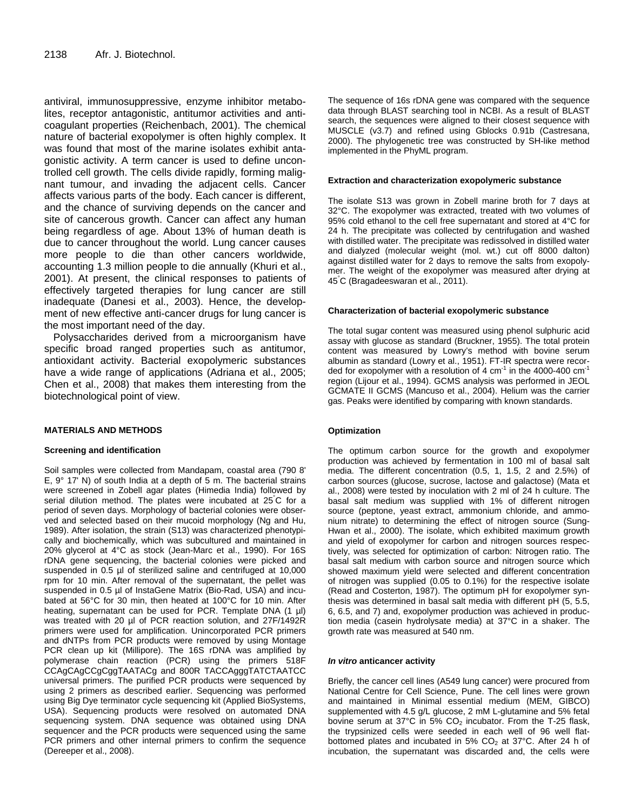antiviral, immunosuppressive, enzyme inhibitor metabolites, receptor antagonistic, antitumor activities and anticoagulant properties (Reichenbach, 2001). The chemical nature of bacterial exopolymer is often highly complex. It was found that most of the marine isolates exhibit antagonistic activity. A term cancer is used to define uncontrolled cell growth. The cells divide rapidly, forming malignant tumour, and invading the adjacent cells. Cancer affects various parts of the body. Each cancer is different, and the chance of surviving depends on the cancer and site of cancerous growth. Cancer can affect any human being regardless of age. About 13% of human death is due to cancer throughout the world. Lung cancer causes more people to die than other cancers worldwide, accounting 1.3 million people to die annually (Khuri et al., 2001). At present, the clinical responses to patients of effectively targeted therapies for lung cancer are still inadequate (Danesi et al., 2003). Hence, the development of new effective anti-cancer drugs for lung cancer is the most important need of the day.

Polysaccharides derived from a microorganism have specific broad ranged properties such as antitumor, antioxidant activity. Bacterial exopolymeric substances have a wide range of applications (Adriana et al., 2005; Chen et al., 2008) that makes them interesting from the biotechnological point of view.

#### **MATERIALS AND METHODS**

#### **Screening and identification**

Soil samples were collected from Mandapam, coastal area (790 8' E, 9° 17' N) of south India at a depth of 5 m. The bacterial strains were screened in Zobell agar plates (Himedia India) followed by serial dilution method. The plates were incubated at 25° C for a period of seven days. Morphology of bacterial colonies were observed and selected based on their mucoid morphology (Ng and Hu, 1989). After isolation, the strain (S13) was characterized phenotypically and biochemically, which was subcultured and maintained in 20% glycerol at 4°C as stock (Jean-Marc et al., 1990). For 16S rDNA gene sequencing, the bacterial colonies were picked and suspended in 0.5 µl of sterilized saline and centrifuged at 10,000 rpm for 10 min. After removal of the supernatant, the pellet was suspended in 0.5 µl of InstaGene Matrix (Bio-Rad, USA) and incubated at 56°C for 30 min, then heated at 100°C for 10 min. After heating, supernatant can be used for PCR. Template DNA (1 µl) was treated with 20 µl of PCR reaction solution, and 27F/1492R primers were used for amplification. Unincorporated PCR primers and dNTPs from PCR products were removed by using Montage PCR clean up kit (Millipore). The 16S rDNA was amplified by polymerase chain reaction (PCR) using the primers 518F CCAgCAgCCgCggTAATACg and 800R TACCAgggTATCTAATCC universal primers. The purified PCR products were sequenced by using 2 primers as described earlier. Sequencing was performed using Big Dye terminator cycle sequencing kit (Applied BioSystems, USA). Sequencing products were resolved on automated DNA sequencing system. DNA sequence was obtained using DNA sequencer and the PCR products were sequenced using the same PCR primers and other internal primers to confirm the sequence (Dereeper et al., 2008).

The sequence of 16s rDNA gene was compared with the sequence data through BLAST searching tool in NCBI. As a result of BLAST search, the sequences were aligned to their closest sequence with MUSCLE (v3.7) and refined using Gblocks 0.91b (Castresana, 2000). The phylogenetic tree was constructed by SH-like method implemented in the PhyML program.

#### **Extraction and characterization exopolymeric substance**

The isolate S13 was grown in Zobell marine broth for 7 days at 32°C. The exopolymer was extracted, treated with two volumes of 95% cold ethanol to the cell free supernatant and stored at 4°C for 24 h. The precipitate was collected by centrifugation and washed with distilled water. The precipitate was redissolved in distilled water and dialyzed (molecular weight (mol. wt.) cut off 8000 dalton) against distilled water for 2 days to remove the salts from exopolymer. The weight of the exopolymer was measured after drying at 45° C (Bragadeeswaran et al., 2011).

#### **Characterization of bacterial exopolymeric substance**

The total sugar content was measured using phenol sulphuric acid assay with glucose as standard (Bruckner, 1955). The total protein content was measured by Lowry's method with bovine serum albumin as standard (Lowry et al., 1951). FT-IR spectra were recorded for exopolymer with a resolution of 4  $cm^{-1}$  in the 4000-400  $cm^{-1}$ region (Lijour et al., 1994). GCMS analysis was performed in JEOL GCMATE II GCMS (Mancuso et al., 2004). Helium was the carrier gas. Peaks were identified by comparing with known standards.

#### **Optimization**

The optimum carbon source for the growth and exopolymer production was achieved by fermentation in 100 ml of basal salt media. The different concentration (0.5, 1, 1.5, 2 and 2.5%) of carbon sources (glucose, sucrose, lactose and galactose) (Mata et al., 2008) were tested by inoculation with 2 ml of 24 h culture. The basal salt medium was supplied with 1% of different nitrogen source (peptone, yeast extract, ammonium chloride, and ammonium nitrate) to determining the effect of nitrogen source (Sung-Hwan et al., 2000). The isolate, which exhibited maximum growth and yield of exopolymer for carbon and nitrogen sources respectively, was selected for optimization of carbon: Nitrogen ratio. The basal salt medium with carbon source and nitrogen source which showed maximum yield were selected and different concentration of nitrogen was supplied (0.05 to 0.1%) for the respective isolate (Read and Costerton, 1987). The optimum pH for exopolymer synthesis was determined in basal salt media with different pH (5, 5.5, 6, 6.5, and 7) and, exopolymer production was achieved in production media (casein hydrolysate media) at 37°C in a shaker. The growth rate was measured at 540 nm.

#### *In vitro* **anticancer activity**

Briefly, the cancer cell lines (A549 lung cancer) were procured from National Centre for Cell Science, Pune. The cell lines were grown and maintained in Minimal essential medium (MEM, GIBCO) supplemented with 4.5 g/L glucose, 2 mM L-glutamine and 5% fetal bovine serum at  $37^{\circ}$ C in 5%  $CO_{2}$  incubator. From the T-25 flask, the trypsinized cells were seeded in each well of 96 well flatbottomed plates and incubated in 5%  $CO<sub>2</sub>$  at 37°C. After 24 h of incubation, the supernatant was discarded and, the cells were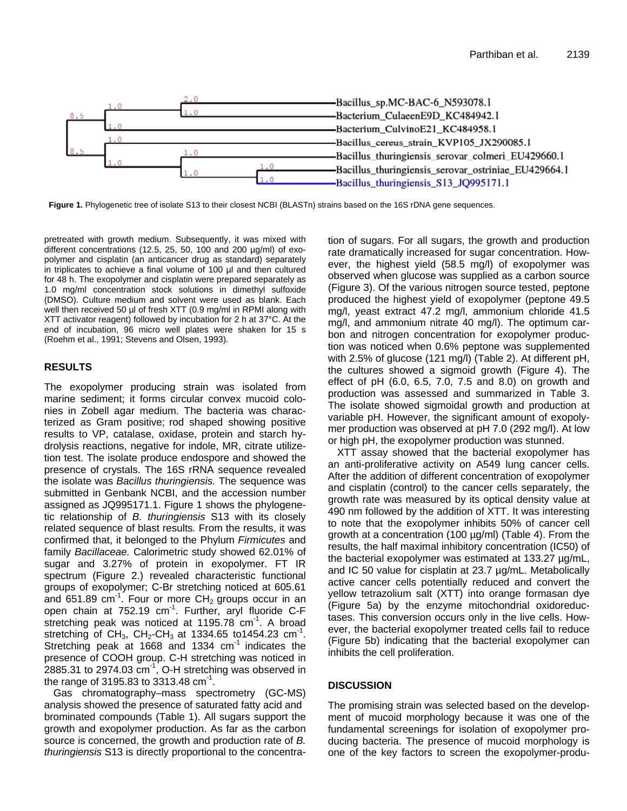

Figure 1. Phylogenetic tree of isolate S13 to their closest NCBI (BLASTn) strains based on the 16S rDNA gene sequences.

pretreated with growth medium. Subsequently, it was mixed with different concentrations (12.5, 25, 50, 100 and 200 µg/ml) of exopolymer and cisplatin (an anticancer drug as standard) separately in triplicates to achieve a final volume of 100 µl and then cultured for 48 h. The exopolymer and cisplatin were prepared separately as 1.0 mg/ml concentration stock solutions in dimethyl sulfoxide (DMSO). Culture medium and solvent were used as blank. Each well then received 50 µl of fresh XTT (0.9 mg/ml in RPMI along with XTT activator reagent) followed by incubation for 2 h at 37°C. At the end of incubation, 96 micro well plates were shaken for 15 s (Roehm et al., 1991; Stevens and Olsen, 1993).

# **RESULTS**

The exopolymer producing strain was isolated from marine sediment; it forms circular convex mucoid colonies in Zobell agar medium. The bacteria was characterized as Gram positive; rod shaped showing positive results to VP, catalase, oxidase, protein and starch hydrolysis reactions, negative for indole, MR, citrate utilizetion test. The isolate produce endospore and showed the presence of crystals. The 16S rRNA sequence revealed the isolate was *Bacillus thuringiensis.* The sequence was submitted in Genbank NCBI, and the accession number assigned as JQ995171.1. Figure 1 shows the phylogenetic relationship of *B. thuringiensis* S13 with its closely related sequence of blast results*.* From the results, it was confirmed that, it belonged to the Phylum *Firmicutes* and family *Bacillaceae.* Calorimetric study showed 62.01% of sugar and 3.27% of protein in exopolymer. FT IR spectrum (Figure 2.) revealed characteristic functional groups of exopolymer; C-Br stretching noticed at 605.61 and 651.89  $cm^{-1}$ . Four or more CH<sub>2</sub> groups occur in an open chain at 752.19 cm<sup>-1</sup>. Further, aryl fluoride C-F stretching peak was noticed at  $1195.78$  cm<sup>-1</sup>. A broad stretching of CH<sub>3</sub>, CH<sub>2</sub>-CH<sub>3</sub> at 1334.65 to 1454.23 cm<sup>-1</sup>. Stretching peak at 1668 and 1334  $cm^{-1}$  indicates the presence of COOH group. C-H stretching was noticed in 2885.31 to 2974.03  $cm^{-1}$ , O-H stretching was observed in the range of 3195.83 to 3313.48  $cm^{-1}$ .

Gas chromatography–mass spectrometry (GC-MS) analysis showed the presence of saturated fatty acid and brominated compounds (Table 1). All sugars support the growth and exopolymer production. As far as the carbon source is concerned, the growth and production rate of *B. thuringiensis* S13 is directly proportional to the concentration of sugars. For all sugars, the growth and production rate dramatically increased for sugar concentration. However, the highest yield (58.5 mg/l) of exopolymer was observed when glucose was supplied as a carbon source (Figure 3). Of the various nitrogen source tested, peptone produced the highest yield of exopolymer (peptone 49.5 mg/l, yeast extract 47.2 mg/l, ammonium chloride 41.5 mg/l, and ammonium nitrate 40 mg/l). The optimum carbon and nitrogen concentration for exopolymer production was noticed when 0.6% peptone was supplemented with 2.5% of glucose (121 mg/l) (Table 2). At different pH, the cultures showed a sigmoid growth (Figure 4). The effect of pH (6.0, 6.5, 7.0, 7.5 and 8.0) on growth and production was assessed and summarized in Table 3. The isolate showed sigmoidal growth and production at variable pH. However, the significant amount of exopolymer production was observed at pH 7.0 (292 mg/l). At low or high pH, the exopolymer production was stunned.

XTT assay showed that the bacterial exopolymer has an anti-proliferative activity on A549 lung cancer cells. After the addition of different concentration of exopolymer and cisplatin (control) to the cancer cells separately, the growth rate was measured by its optical density value at 490 nm followed by the addition of XTT. It was interesting to note that the exopolymer inhibits 50% of cancer cell growth at a concentration (100 µg/ml) (Table 4). From the results, the half maximal inhibitory concentration (IC50) of the bacterial exopolymer was estimated at 133.27 µg/mL, and IC 50 value for cisplatin at 23.7 µg/mL. Metabolically active cancer cells potentially reduced and convert the yellow tetrazolium salt (XTT) into orange formasan dye (Figure 5a) by the enzyme mitochondrial oxidoreductases. This conversion occurs only in the live cells. However, the bacterial exopolymer treated cells fail to reduce (Figure 5b) indicating that the bacterial exopolymer can inhibits the cell proliferation.

# **DISCUSSION**

The promising strain was selected based on the development of mucoid morphology because it was one of the fundamental screenings for isolation of exopolymer producing bacteria. The presence of mucoid morphology is one of the key factors to screen the exopolymer-produ-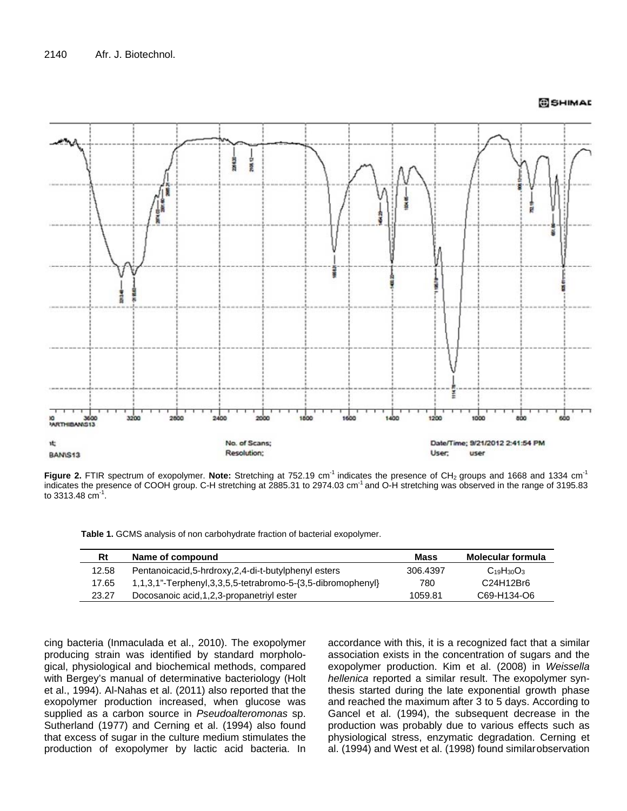

**Figure 2.** FTIR spectrum of exopolymer. Note: Stretching at 752.19 cm<sup>-1</sup> indicates the presence of CH<sub>2</sub> groups and 1668 and 1334 cm<sup>-1</sup> indicates the presence of COOH group. C-H stretching at 2885.31 to 2974.03 cm<sup>-1</sup> and O-H stretching was observed in the range of 3195.83 to 3313.48  $cm^{-1}$ .

|  |  |  | Table 1. GCMS analysis of non carbohydrate fraction of bacterial exopolymer. |  |  |
|--|--|--|------------------------------------------------------------------------------|--|--|
|--|--|--|------------------------------------------------------------------------------|--|--|

| Rt    | Name of compound                                                              | Mass     | Molecular formula |
|-------|-------------------------------------------------------------------------------|----------|-------------------|
| 12.58 | Pentanoicacid, 5-hrdroxy, 2, 4-di-t-butylphenyl esters                        | 306.4397 | $C_{19}H_{30}O_3$ |
| 17.65 | $1,1,3,1$ "-Terphenyl, $3,3,5,5$ -tetrabromo-5- $\{3,5\}$ -dibromophenyl $\}$ | 780      | C24H12Br6         |
| 23.27 | Docosanoic acid, 1, 2, 3-propanetriyl ester                                   | 1059.81  | C69-H134-O6       |

cing bacteria (Inmaculada et al., 2010). The exopolymer producing strain was identified by standard morphological, physiological and biochemical methods, compared with Bergey's manual of determinative bacteriology (Holt et al., 1994). Al-Nahas et al. (2011) also reported that the exopolymer production increased, when glucose was supplied as a carbon source in *Pseudoalteromonas* sp. Sutherland (1977) and Cerning et al. (1994) also found that excess of sugar in the culture medium stimulates the production of exopolymer by lactic acid bacteria. In

accordance with this, it is a recognized fact that a similar association exists in the concentration of sugars and the exopolymer production. Kim et al. (2008) in *Weissella hellenica* reported a similar result. The exopolymer synthesis started during the late exponential growth phase and reached the maximum after 3 to 5 days. According to Gancel et al. (1994), the subsequent decrease in the production was probably due to various effects such as physiological stress, enzymatic degradation. Cerning et al. (1994) and West et al. (1998) found similarobservation

SHIMAL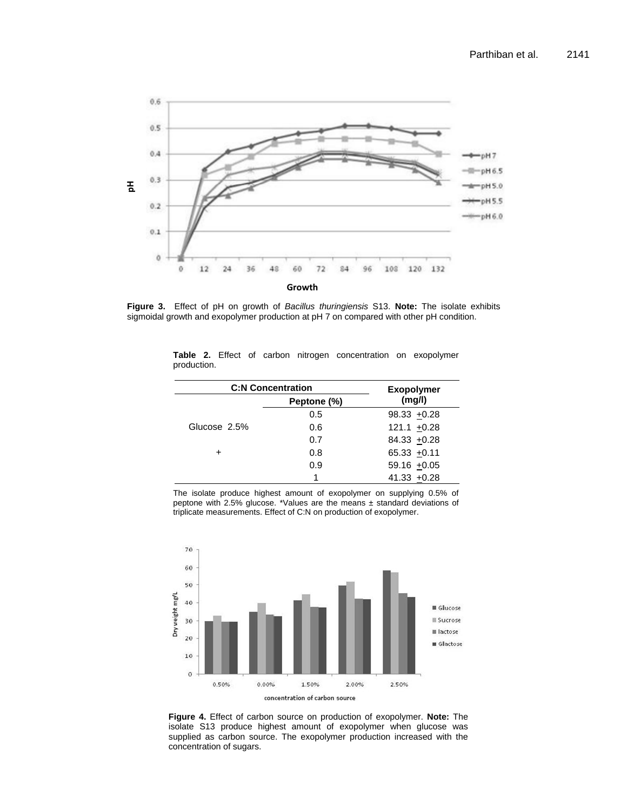

**Figure 3.** Effect of pH on growth of *Bacillus thuringiensis* S13. **Note:** The isolate exhibits sigmoidal growth and exopolymer production at pH 7 on compared with other pH condition.

| <b>C:N Concentration</b> | <b>Exopolymer</b> |                  |  |
|--------------------------|-------------------|------------------|--|
|                          | Peptone (%)       | (mg/l)           |  |
|                          | 0.5               | $98.33 + 0.28$   |  |
| Glucose 2.5%             | 0.6               | $121.1 + 0.28$   |  |
|                          | 0.7               | 84.33 +0.28      |  |
|                          | 0.8               | $65.33 + 0.11$   |  |
|                          | 0.9               | 59.16 $\pm 0.05$ |  |
|                          |                   | $41.33 + 0.28$   |  |

**Table 2.** Effect of carbon nitrogen concentration on exopolymer production.

The isolate produce highest amount of exopolymer on supplying 0.5% of peptone with 2.5% glucose. \*Values are the means  $\pm$  standard deviations of triplicate measurements. Effect of C:N on production of exopolymer.



**Figure 4.** Effect of carbon source on production of exopolymer. **Note:** The isolate S13 produce highest amount of exopolymer when glucose was supplied as carbon source. The exopolymer production increased with the concentration of sugars.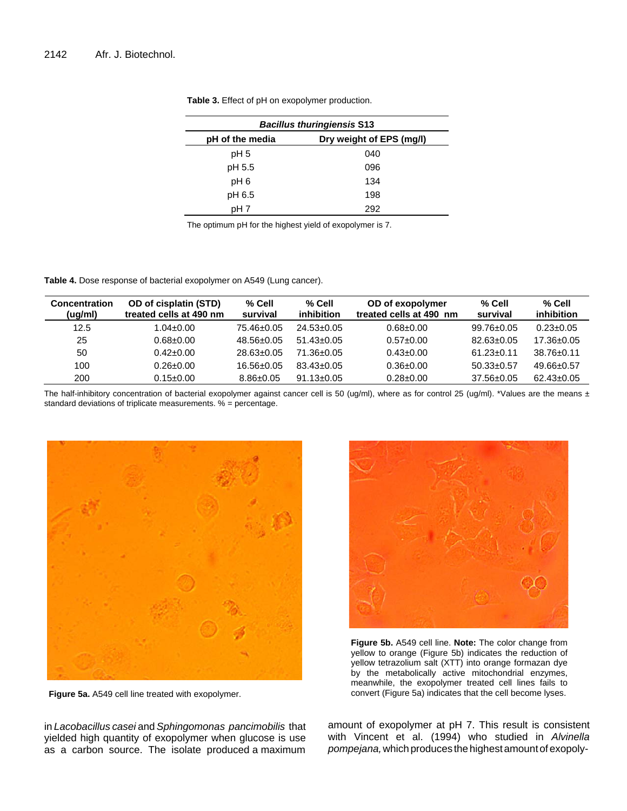| <b>Bacillus thuringiensis S13</b> |                          |  |  |
|-----------------------------------|--------------------------|--|--|
| pH of the media                   | Dry weight of EPS (mg/l) |  |  |
| pH <sub>5</sub>                   | 040                      |  |  |
| pH 5.5                            | 096                      |  |  |
| pH <sub>6</sub>                   | 134                      |  |  |
| pH 6.5                            | 198                      |  |  |
| pH 7                              | 292                      |  |  |

**Table 3.** Effect of pH on exopolymer production.

The optimum pH for the highest yield of exopolymer is 7.

**Table 4.** Dose response of bacterial exopolymer on A549 (Lung cancer).

| <b>Concentration</b><br>(ug/ml) | OD of cisplatin (STD)<br>treated cells at 490 nm | $%$ Cell<br>survival | % Cell<br>inhibition | OD of exopolymer<br>treated cells at 490 nm | $%$ Cell<br>survival | $%$ Cell<br>inhibition |
|---------------------------------|--------------------------------------------------|----------------------|----------------------|---------------------------------------------|----------------------|------------------------|
| 12.5                            | 04±0.00. ا                                       | 75.46±0.05           | $24.53 \pm 0.05$     | $0.68 + 0.00$                               | $99.76 \pm 0.05$     | $0.23 \pm 0.05$        |
| 25                              | $0.68 + 0.00$                                    | $48.56 \pm 0.05$     | $51.43 + 0.05$       | $0.57 \pm 0.00$                             | $82.63 \pm 0.05$     | $17.36 \pm 0.05$       |
| 50                              | $0.42 \pm 0.00$                                  | $28.63 \pm 0.05$     | $71.36 + 0.05$       | $0.43 \pm 0.00$                             | $61.23 \pm 0.11$     | $38.76 \pm 0.11$       |
| 100                             | $0.26 \pm 0.00$                                  | $16.56 \pm 0.05$     | $83.43 \pm 0.05$     | $0.36 \pm 0.00$                             | $50.33 \pm 0.57$     | 49.66±0.57             |
| 200                             | $0.15 \pm 0.00$                                  | $8.86 \pm 0.05$      | $91.13 \pm 0.05$     | $0.28 \pm 0.00$                             | $37.56 \pm 0.05$     | $62.43 \pm 0.05$       |

The half-inhibitory concentration of bacterial exopolymer against cancer cell is 50 (ug/ml), where as for control 25 (ug/ml). \*Values are the means  $\pm$ standard deviations of triplicate measurements. % = percentage.



**Figure 5a.** A549 cell line treated with exopolymer.

in *Lacobacillus casei* and *Sphingomonas pancimobilis* that yielded high quantity of exopolymer when glucose is use as a carbon source. The isolate produced a maximum



**Figure 5b.** A549 cell line. **Note:** The color change from yellow to orange (Figure 5b) indicates the reduction of yellow tetrazolium salt (XTT) into orange formazan dye by the metabolically active mitochondrial enzymes, meanwhile, the exopolymer treated cell lines fails to convert (Figure 5a) indicates that the cell become lyses.

amount of exopolymer at pH 7. This result is consistent with Vincent et al. (1994) who studied in *Alvinella*  pompejana, which produces the highest amount of exopoly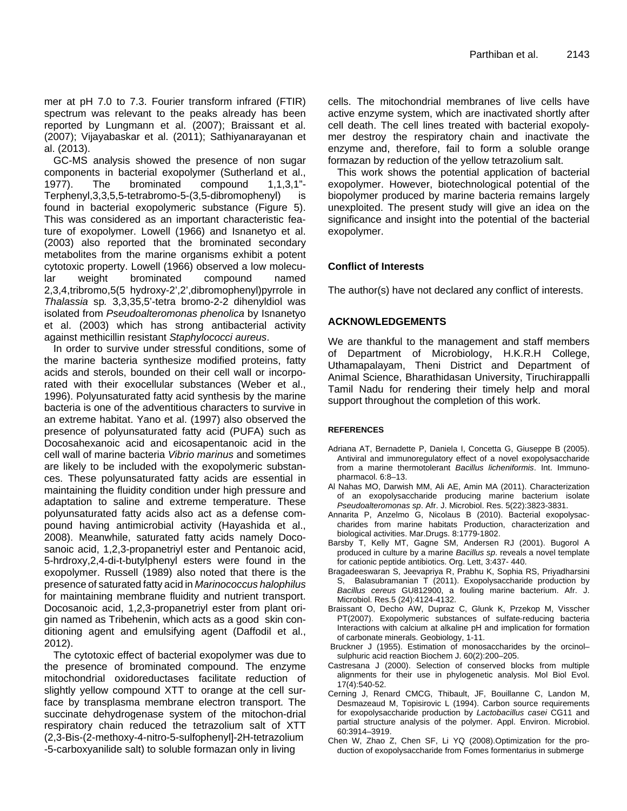mer at pH 7.0 to 7.3. Fourier transform infrared (FTIR) spectrum was relevant to the peaks already has been reported by Lungmann et al. (2007); Braissant et al. (2007); Vijayabaskar et al. (2011); Sathiyanarayanan et al. (2013).

GC-MS analysis showed the presence of non sugar components in bacterial exopolymer (Sutherland et al., 1977). The brominated compound 1,1,3,1"- Terphenyl,3,3,5,5-tetrabromo-5-(3,5-dibromophenyl) is found in bacterial exopolymeric substance (Figure 5). This was considered as an important characteristic feature of exopolymer. Lowell (1966) and Isnanetyo et al. (2003) also reported that the brominated secondary metabolites from the marine organisms exhibit a potent cytotoxic property. Lowell (1966) observed a low molecular weight brominated compound named 2,3,4,tribromo,5(5 hydroxy-2',2',dibromophenyl)pyrrole in *Thalassia* sp*.* 3,3,35,5'-tetra bromo-2-2 dihenyldiol was isolated from *Pseudoalteromonas phenolica* by Isnanetyo et al. (2003) which has strong antibacterial activity against methicillin resistant *Staphylococci aureus*.

In order to survive under stressful conditions, some of the marine bacteria synthesize modified proteins, fatty acids and sterols, bounded on their cell wall or incorporated with their exocellular substances (Weber et al., 1996). Polyunsaturated fatty acid synthesis by the marine bacteria is one of the adventitious characters to survive in an extreme habitat. Yano et al. (1997) also observed the presence of polyunsaturated fatty acid (PUFA) such as Docosahexanoic acid and eicosapentanoic acid in the cell wall of marine bacteria *Vibrio marinus* and sometimes are likely to be included with the exopolymeric substances. These polyunsaturated fatty acids are essential in maintaining the fluidity condition under high pressure and adaptation to saline and extreme temperature. These polyunsaturated fatty acids also act as a defense compound having antimicrobial activity (Hayashida et al., 2008). Meanwhile, saturated fatty acids namely Docosanoic acid, 1,2,3-propanetriyl ester and Pentanoic acid, 5-hrdroxy,2,4-di-t-butylphenyl esters were found in the exopolymer. Russell (1989) also noted that there is the presence of saturated fatty acid in *Marinococcus halophilus* for maintaining membrane fluidity and nutrient transport. Docosanoic acid, 1,2,3-propanetriyl ester from plant origin named as Tribehenin, which acts as a good skin conditioning agent and emulsifying agent (Daffodil et al., 2012).

The cytotoxic effect of bacterial exopolymer was due to the presence of brominated compound. The enzyme mitochondrial oxidoreductases facilitate reduction of slightly yellow compound XTT to orange at the cell surface by transplasma membrane electron transport. The succinate dehydrogenase system of the mitochon-drial respiratory chain reduced the tetrazolium salt of XTT (2,3-Bis-(2-methoxy-4-nitro-5-sulfophenyl]-2H-tetrazolium -5-carboxyanilide salt) to soluble formazan only in living

cells. The mitochondrial membranes of live cells have active enzyme system, which are inactivated shortly after cell death. The cell lines treated with bacterial exopolymer destroy the respiratory chain and inactivate the enzyme and, therefore, fail to form a soluble orange formazan by reduction of the yellow tetrazolium salt.

This work shows the potential application of bacterial exopolymer. However, biotechnological potential of the biopolymer produced by marine bacteria remains largely unexploited. The present study will give an idea on the significance and insight into the potential of the bacterial exopolymer.

# **Conflict of Interests**

The author(s) have not declared any conflict of interests.

# **ACKNOWLEDGEMENTS**

We are thankful to the management and staff members of Department of Microbiology, H.K.R.H College, Uthamapalayam, Theni District and Department of Animal Science, Bharathidasan University, Tiruchirappalli Tamil Nadu for rendering their timely help and moral support throughout the completion of this work.

#### **REFERENCES**

- Adriana AT, Bernadette P, Daniela I, Concetta G, Giuseppe B (2005). Antiviral and immunoregulatory effect of a novel exopolysaccharide from a marine thermotolerant *Bacillus licheniformis*. Int. Immunopharmacol. 6:8–13.
- Al Nahas MO, Darwish MM, Ali AE, Amin MA (2011). Characterization of an exopolysaccharide producing marine bacterium isolate *Pseudoalteromonas sp*. Afr. J. Microbiol. Res. 5(22):3823-3831.
- Annarita P, Anzelmo G, Nicolaus B (2010). Bacterial exopolysaccharides from marine habitats Production, characterization and biological activities. Mar.Drugs. 8:1779-1802.
- Barsby T, Kelly MT, Gagne SM, Andersen RJ (2001). Bugorol A produced in culture by a marine *Bacillus sp*. reveals a novel template for cationic peptide antibiotics. Org. Lett, 3:437- 440.
- Bragadeeswaran S, Jeevapriya R, Prabhu K, Sophia RS, Priyadharsini S, Balasubramanian T (2011). Exopolysaccharide production by *Bacillus cereus* GU812900, a fouling marine bacterium. Afr. J. Microbiol. Res.5 (24):4124-4132.
- Braissant O, Decho AW, Dupraz C, Glunk K, Przekop M, Visscher PT(2007). Exopolymeric substances of sulfate-reducing bacteria Interactions with calcium at alkaline pH and implication for formation of carbonate minerals. Geobiology, 1-11.
- Bruckner J (1955). Estimation of monosaccharides by the orcinol– sulphuric acid reaction Biochem J. 60(2):200–205.
- Castresana J (2000). Selection of conserved blocks from multiple alignments for their use in phylogenetic analysis. Mol Biol Evol. 17(4):540-52.
- Cerning J, Renard CMCG, Thibault, JF, Bouillanne C, Landon M, Desmazeaud M, Topisirovic L (1994). Carbon source requirements for exopolysaccharide production by *Lactobacillus casei* CG11 and partial structure analysis of the polymer. Appl. Environ. Microbiol. 60:3914–3919.
- Chen W, Zhao Z, Chen SF, Li YQ (2008).Optimization for the production of exopolysaccharide from Fomes formentarius in submerge